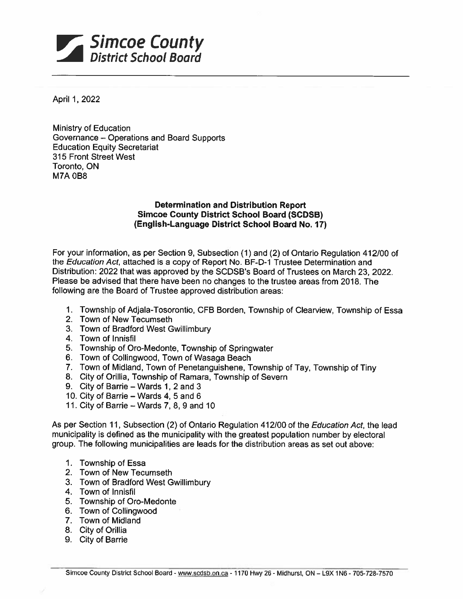

April 1, 2022

Ministry of Education Governance — Operations and Board Supports Education Equity Secretariat 315 Front Street West Toronto, ON M7A 0B8

## Determination and Distribution Report Simcoe County District School Board (SCDSB) (English-Language District School Board No. 17)

For your information, as per Section 9, Subsection (1) and (2) of Ontario Regulation 41 2/00 of the Education Act, attached is a copy of Report No. BF-D-1 Trustee Determination and Distribution: 2022 that was approved by the SCDSB's Board of Trustees on March 23, 2022. Please be advised that there have been no changes to the trustee areas from 2018. The following are the Board of Trustee approved distribution areas:

- 1. Township of Adjala-Tosorontio, CFB Borden, Township of Clearview, Township of Essa
- 2. Town of New Tecumseth
- 3. Town of Bradford West Gwillimbury
- 4. Town of Innisfil
- 5. Township of Oro-Medonte, Township of Springwater
- 6. Town of Collingwood, Town of Wasaga Beach
- 7. Town of Midland, Town of Penetanguishene, Township of Tay, Township of Tiny
- 8. City of Orillia, Township of Ramara, Township of Severn
- 9. City of Barrie Wards 1, 2 and 3
- 10. City of Barrie Wards 4, 5 and 6
- 11. City of Barrie Wards 7, 8, 9 and 10

As per Section 11, Subsection (2) of Ontario Regulation 412)00 of the Education Act, the lead municipality is defined as the municipality with the greatest population number by electoral group. The following municipalities are leads for the distribution areas as set out above:

- 1. Township of Essa
- 2. Town of New Tecumseth
- 3. Town of Bradford West Gwillimbury
- 4. Town of Innisfil
- 5. Township of Oro-Medonte
- 6. Town of Collingwood
- 7. Town of Midland
- 8. City of Drillia
- 9. City of Barrie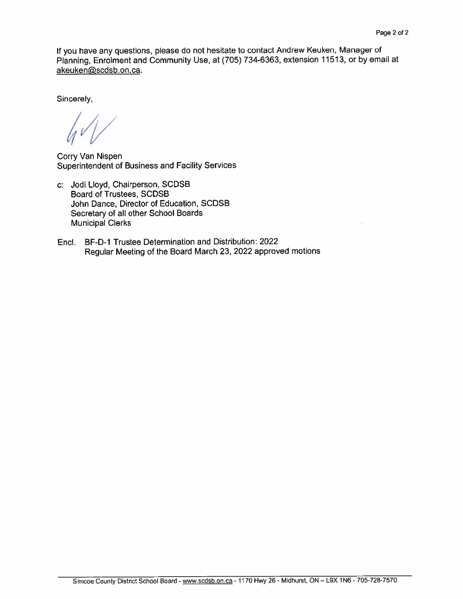If you have any questions, <sup>p</sup>lease do not hesitate to contact Andrew Keuken, Manager of Planning, Enrolment and Community Use, at (705) 734-6363, extension 11513, or by email at akeuken@scdsb.on.ca.

Sincerely,

Corry Van Nispen Superintendent of Business and Facility Services

- c: Jodi Lloyd, Chairperson, SCDSB Board of Trustees, SCDSB John Dance, Director of Education, SCDSB Secretary of all other School Boards Municipal Clerks
- End. BF-D-1 Trustee Determination and Distribution: 2022 Regular Meeting of the Board March 23, <sup>2022</sup> approve<sup>d</sup> motions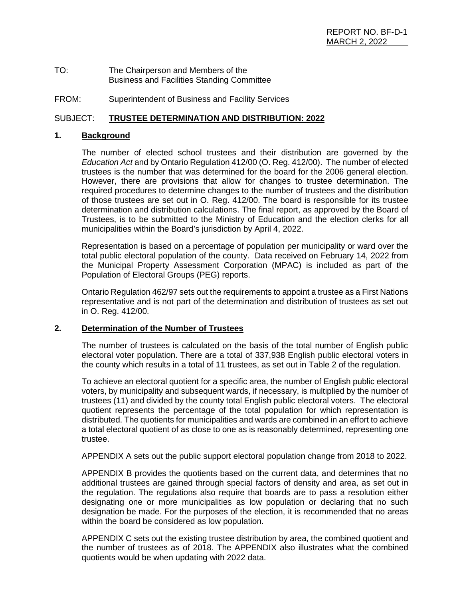| TO: | The Chairperson and Members of the                |
|-----|---------------------------------------------------|
|     | <b>Business and Facilities Standing Committee</b> |

FROM: Superintendent of Business and Facility Services

### SUBJECT: **TRUSTEE DETERMINATION AND DISTRIBUTION: 2022**

### **1. Background**

The number of elected school trustees and their distribution are governed by the *Education Act* and by Ontario Regulation 412/00 (O. Reg. 412/00). The number of elected trustees is the number that was determined for the board for the 2006 general election. However, there are provisions that allow for changes to trustee determination. The required procedures to determine changes to the number of trustees and the distribution of those trustees are set out in O. Reg. 412/00. The board is responsible for its trustee determination and distribution calculations. The final report, as approved by the Board of Trustees, is to be submitted to the Ministry of Education and the election clerks for all municipalities within the Board's jurisdiction by April 4, 2022.

Representation is based on a percentage of population per municipality or ward over the total public electoral population of the county. Data received on February 14, 2022 from the Municipal Property Assessment Corporation (MPAC) is included as part of the Population of Electoral Groups (PEG) reports.

Ontario Regulation 462/97 sets out the requirements to appoint a trustee as a First Nations representative and is not part of the determination and distribution of trustees as set out in O. Reg. 412/00.

### **2. Determination of the Number of Trustees**

The number of trustees is calculated on the basis of the total number of English public electoral voter population. There are a total of 337,938 English public electoral voters in the county which results in a total of 11 trustees, as set out in Table 2 of the regulation.

To achieve an electoral quotient for a specific area, the number of English public electoral voters, by municipality and subsequent wards, if necessary, is multiplied by the number of trustees (11) and divided by the county total English public electoral voters. The electoral quotient represents the percentage of the total population for which representation is distributed. The quotients for municipalities and wards are combined in an effort to achieve a total electoral quotient of as close to one as is reasonably determined, representing one trustee.

APPENDIX A sets out the public support electoral population change from 2018 to 2022.

APPENDIX B provides the quotients based on the current data, and determines that no additional trustees are gained through special factors of density and area, as set out in the regulation. The regulations also require that boards are to pass a resolution either designating one or more municipalities as low population or declaring that no such designation be made. For the purposes of the election, it is recommended that no areas within the board be considered as low population.

APPENDIX C sets out the existing trustee distribution by area, the combined quotient and the number of trustees as of 2018. The APPENDIX also illustrates what the combined quotients would be when updating with 2022 data.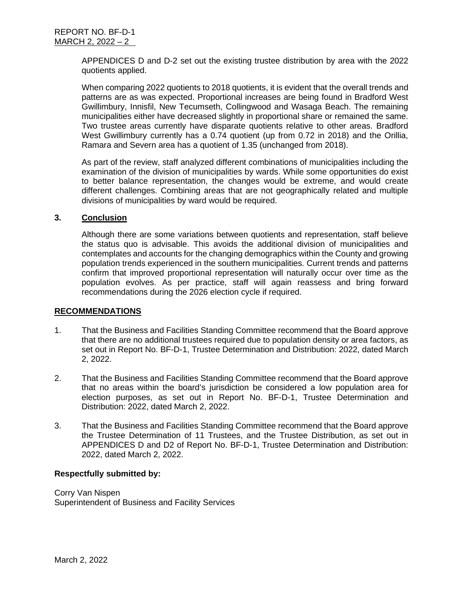APPENDICES D and D-2 set out the existing trustee distribution by area with the 2022 quotients applied.

When comparing 2022 quotients to 2018 quotients, it is evident that the overall trends and patterns are as was expected. Proportional increases are being found in Bradford West Gwillimbury, Innisfil, New Tecumseth, Collingwood and Wasaga Beach. The remaining municipalities either have decreased slightly in proportional share or remained the same. Two trustee areas currently have disparate quotients relative to other areas. Bradford West Gwillimbury currently has a 0.74 quotient (up from 0.72 in 2018) and the Orillia, Ramara and Severn area has a quotient of 1.35 (unchanged from 2018).

As part of the review, staff analyzed different combinations of municipalities including the examination of the division of municipalities by wards. While some opportunities do exist to better balance representation, the changes would be extreme, and would create different challenges. Combining areas that are not geographically related and multiple divisions of municipalities by ward would be required.

### **3. Conclusion**

Although there are some variations between quotients and representation, staff believe the status quo is advisable. This avoids the additional division of municipalities and contemplates and accounts for the changing demographics within the County and growing population trends experienced in the southern municipalities. Current trends and patterns confirm that improved proportional representation will naturally occur over time as the population evolves. As per practice, staff will again reassess and bring forward recommendations during the 2026 election cycle if required.

### **RECOMMENDATIONS**

- 1. That the Business and Facilities Standing Committee recommend that the Board approve that there are no additional trustees required due to population density or area factors, as set out in Report No. BF-D-1, Trustee Determination and Distribution: 2022, dated March 2, 2022.
- 2. That the Business and Facilities Standing Committee recommend that the Board approve that no areas within the board's jurisdiction be considered a low population area for election purposes, as set out in Report No. BF-D-1, Trustee Determination and Distribution: 2022, dated March 2, 2022.
- 3. That the Business and Facilities Standing Committee recommend that the Board approve the Trustee Determination of 11 Trustees, and the Trustee Distribution, as set out in APPENDICES D and D2 of Report No. BF-D-1, Trustee Determination and Distribution: 2022, dated March 2, 2022.

### **Respectfully submitted by:**

Corry Van Nispen Superintendent of Business and Facility Services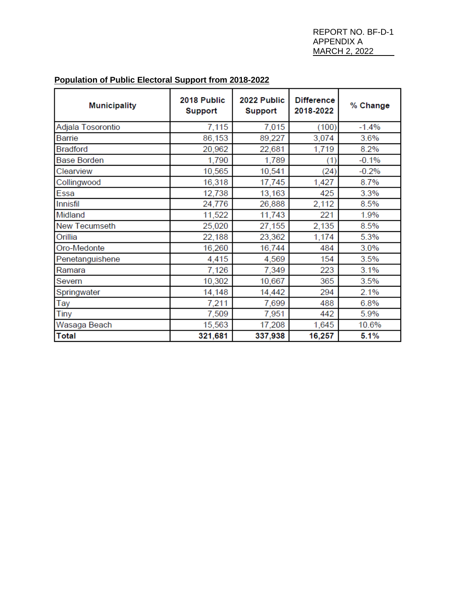# **Population of Public Electoral Support from 2018-2022**

| <b>Municipality</b>  | 2018 Public<br><b>Support</b> | 2022 Public<br><b>Support</b> | <b>Difference</b><br>2018-2022 | % Change |  |
|----------------------|-------------------------------|-------------------------------|--------------------------------|----------|--|
| Adjala Tosorontio    | 7,115                         | 7,015                         | (100)                          | $-1.4%$  |  |
| Barrie               | 86,153                        | 89,227                        | 3,074                          | 3.6%     |  |
| <b>Bradford</b>      | 20,962                        | 22,681                        | 1,719                          | 8.2%     |  |
| <b>Base Borden</b>   | 1,790                         | 1,789                         | (1)                            | $-0.1%$  |  |
| Clearview            | 10,565                        | 10,541                        | (24)                           | $-0.2%$  |  |
| Collingwood          | 16,318                        | 17,745                        | 1,427                          | 8.7%     |  |
| Essa                 | 12,738                        | 13,163                        | 425                            | 3.3%     |  |
| Innisfil             | 24,776                        | 26,888                        | 2,112                          | 8.5%     |  |
| Midland              | 11,522                        | 11,743                        | 221                            | 1.9%     |  |
| <b>New Tecumseth</b> | 25,020                        | 27,155                        | 2,135                          | 8.5%     |  |
| Orillia              | 22,188                        | 23,362                        | 1,174                          | 5.3%     |  |
| Oro-Medonte          | 16,260                        | 16,744                        | 484                            | 3.0%     |  |
| Penetanguishene      | 4,415                         | 4,569                         | 154                            | 3.5%     |  |
| Ramara               | 7,126                         | 7,349                         | 223                            | 3.1%     |  |
| Severn               | 10,302                        | 10,667                        | 365                            | 3.5%     |  |
| Springwater          | 14,148                        | 14,442                        | 294                            | 2.1%     |  |
| Tay                  | 7,211                         | 7,699                         | 488                            | 6.8%     |  |
| Tiny                 | 7,509                         | 7,951                         | 442                            | 5.9%     |  |
| Wasaga Beach         | 15,563                        | 17,208                        | 1,645                          | 10.6%    |  |
| <b>Total</b>         | 321,681                       | 337,938                       | 16,257                         | 5.1%     |  |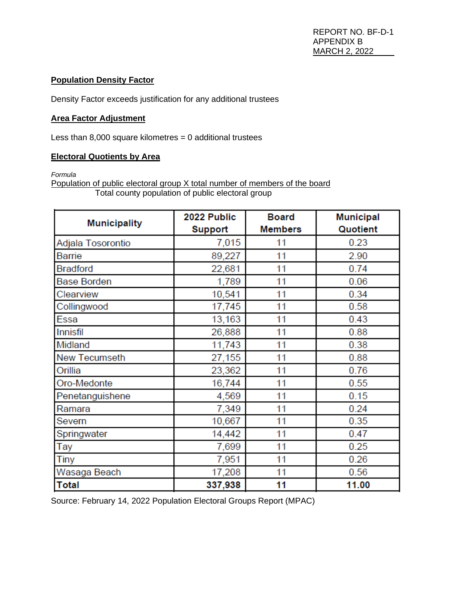# **Population Density Factor**

Density Factor exceeds justification for any additional trustees

## **Area Factor Adjustment**

Less than  $8,000$  square kilometres = 0 additional trustees

# **Electoral Quotients by Area**

*Formula*

Population of public electoral group X total number of members of the board Total county population of public electoral group

|                      | 2022 Public  | <b>Board</b>   | <b>Municipal</b> |  |
|----------------------|--------------|----------------|------------------|--|
| <b>Municipality</b>  | Support      | <b>Members</b> | Quotient         |  |
| Adjala Tosorontio    | 7,015        | 11             | 0.23             |  |
| Barrie               | 89,227<br>11 |                | 2.90             |  |
| <b>Bradford</b>      | 22,681       | 11             | 0.74             |  |
| <b>Base Borden</b>   | 1,789        | 11             | 0.06             |  |
| Clearview            | 10,541       | 11             | 0.34             |  |
| Collingwood          | 17,745       | 11             | 0.58             |  |
| Essa                 | 13,163       | 11             | 0.43             |  |
| <b>Innisfil</b>      | 26,888       | 11             | 0.88             |  |
| Midland              | 11,743       | 11             | 0.38             |  |
| <b>New Tecumseth</b> | 27,155       | 11             | 0.88             |  |
| Orillia              | 23,362       | 11             | 0.76             |  |
| Oro-Medonte          | 16,744       | 11             | 0.55             |  |
| Penetanguishene      | 4,569        | 11             | 0.15             |  |
| Ramara               | 7,349        | 11             | 0.24             |  |
| Severn               | 10,667       | 11             | 0.35             |  |
| Springwater          | 14,442       | 11             | 0.47             |  |
| Tay                  | 7,699        | 11             | 0.25             |  |
| Tiny                 | 7,951        | 11             | 0.26             |  |
| Wasaga Beach         | 17,208       | 11             | 0.56             |  |
| <b>Total</b>         | 337,938      | 11             | 11.00            |  |

Source: February 14, 2022 Population Electoral Groups Report (MPAC)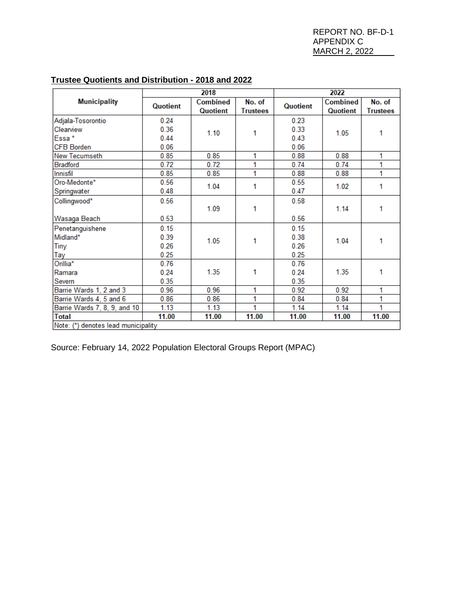|                                     |          | 2018                        |                           | 2022     |                             |                           |  |
|-------------------------------------|----------|-----------------------------|---------------------------|----------|-----------------------------|---------------------------|--|
| <b>Municipality</b>                 | Quotient | <b>Combined</b><br>Quotient | No. of<br><b>Trustees</b> | Quotient | <b>Combined</b><br>Quotient | No. of<br><b>Trustees</b> |  |
| Adjala-Tosorontio                   | 0.24     |                             |                           | 0.23     |                             |                           |  |
| Clearview                           | 0.36     | 1.10                        | 1                         | 0.33     | 1.05                        | 1                         |  |
| Essa*                               | 0.44     |                             |                           | 0.43     |                             |                           |  |
| <b>CFB Borden</b>                   | 0.06     |                             |                           | 0.06     |                             |                           |  |
| <b>New Tecumseth</b>                | 0.85     | 0.85                        | 1                         | 0.88     | 0.88                        | 1                         |  |
| <b>Bradford</b>                     | 0.72     | 0.72                        | 1                         | 0.74     | 0.74                        | 1                         |  |
| Innisfil                            | 0.85     | 0.85                        | 1                         | 0.88     | 0.88                        | 1                         |  |
| Oro-Medonte*                        | 0.56     | 1.04                        | 1                         | 0.55     | 1.02                        | 1                         |  |
| Springwater                         | 0.48     |                             |                           | 0.47     |                             |                           |  |
| Collingwood*                        | 0.56     | 1.09                        | 1                         | 0.58     | 1.14                        |                           |  |
|                                     |          |                             |                           |          |                             | 1                         |  |
| Wasaga Beach                        | 0.53     |                             |                           | 0.56     |                             |                           |  |
| Penetanguishene                     | 0.15     | 1.05                        | 1                         | 0.15     | 1.04                        | 1                         |  |
| Midland*                            | 0.39     |                             |                           | 0.38     |                             |                           |  |
| <b>Tiny</b>                         | 0.26     |                             |                           | 0.26     |                             |                           |  |
| Tay                                 | 0.25     |                             |                           | 0.25     |                             |                           |  |
| Orillia*                            | 0.76     |                             |                           | 0.76     |                             |                           |  |
| Ramara                              | 0.24     | 1.35                        | 1                         | 0.24     | 1.35                        | 1                         |  |
| Severn                              | 0.35     |                             |                           | 0.35     |                             |                           |  |
| Barrie Wards 1, 2 and 3             | 0.96     | 0.96                        | 1                         | 0.92     | 0.92                        | 1                         |  |
| Barrie Wards 4, 5 and 6             | 0.86     | 0.86                        | 1                         | 0.84     | 0.84                        | 1                         |  |
| Barrie Wards 7, 8, 9, and 10        | 1.13     | 1.13                        | 1                         | 1.14     | 1.14                        | 1                         |  |
| <b>Total</b>                        | 11.00    | 11.00                       | 11.00                     | 11.00    | 11.00                       | 11.00                     |  |
| Note: (*) denotes lead municipality |          |                             |                           |          |                             |                           |  |

# **Trustee Quotients and Distribution - 2018 and 2022**

Source: February 14, 2022 Population Electoral Groups Report (MPAC)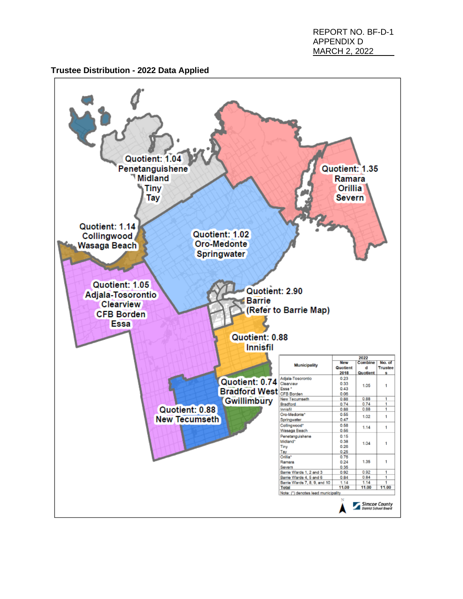REPORT NO. BF-D-1 APPENDIX D MARCH 2, 2022

## **Trustee Distribution - 2022 Data Applied**

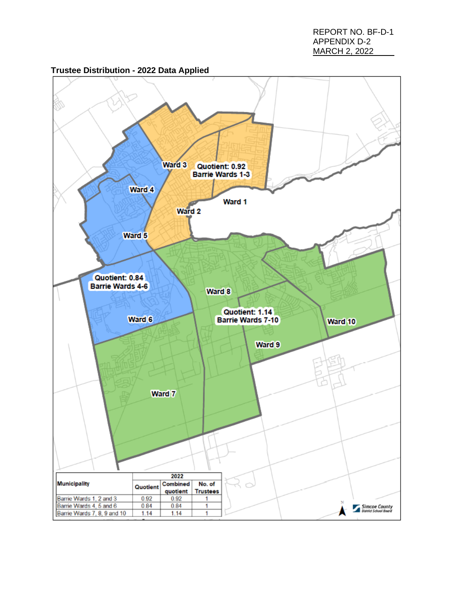REPORT NO. BF-D-1 APPENDIX D-2 MARCH 2, 2022



# **Trustee Distribution - 2022 Data Applied**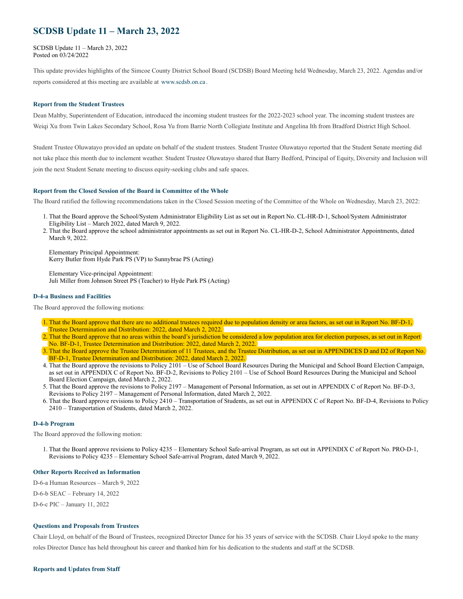# **SCDSB Update 11 – March 23, 2022**

SCDSB Update 11 – March 23, 2022 Posted on 03/24/2022

This update provides highlights of the Simcoe County District School Board (SCDSB) Board Meeting held Wednesday, March 23, 2022. Agendas and/or reports considered at this meeting are available at [www.scdsb.on.ca](http://www.scdsb.on.ca/) .

### **Report from the Student Trustees**

Dean Maltby, Superintendent of Education, introduced the incoming student trustees for the 2022-2023 school year. The incoming student trustees are Weigi Xu from Twin Lakes Secondary School, Rosa Yu from Barrie North Collegiate Institute and Angelina Ith from Bradford District High School.

Student Trustee Oluwatayo provided an update on behalf of the student trustees. Student Trustee Oluwatayo reported that the Student Senate meeting did not take place this month due to inclement weather. Student Trustee Oluwatayo shared that Barry Bedford, Principal of Equity, Diversity and Inclusion will join the next Student Senate meeting to discuss equity-seeking clubs and safe spaces.

#### **Report from the Closed Session of the Board in Committee of the Whole**

The Board ratified the following recommendations taken in the Closed Session meeting of the Committee of the Whole on Wednesday, March 23, 2022:

- 1. That the Board approve the School/System Administrator Eligibility List as set out in Report No. CL-HR-D-1, School/System Administrator Eligibility List – March 2022, dated March 9, 2022.
- 2. That the Board approve the school administrator appointments as set out in Report No. CL-HR-D-2, School Administrator Appointments, dated March 9, 2022.

Elementary Principal Appointment: Kerry Butler from Hyde Park PS (VP) to Sunnybrae PS (Acting)

Elementary Vice-principal Appointment: Juli Miller from Johnson Street PS (Teacher) to Hyde Park PS (Acting)

#### **D-4-a Business and Facilities**

The Board approved the following motions:

- 1. That the Board approve that there are no additional trustees required due to population density or area factors, as set out in Report No. BF-D-1, Trustee Determination and Distribution: 2022, dated March 2, 2022.
- 2. That the Board approve that no areas within the board's jurisdiction be considered a low population area for election purposes, as set out in Report No. BF-D-1, Trustee Determination and Distribution: 2022, dated March 2, 2022.
- 3. That the Board approve the Trustee Determination of 11 Trustees, and the Trustee Distribution, as set out in APPENDICES D and D2 of Report No. BF-D-1, Trustee Determination and Distribution: 2022, dated March 2, 2022.
- 4. That the Board approve the revisions to Policy 2101 Use of School Board Resources During the Municipal and School Board Election Campaign, as set out in APPENDIX C of Report No. BF-D-2, Revisions to Policy 2101 – Use of School Board Resources During the Municipal and School Board Election Campaign, dated March 2, 2022.
- 5. That the Board approve the revisions to Policy 2197 Management of Personal Information, as set out in APPENDIX C of Report No. BF-D-3, Revisions to Policy 2197 – Management of Personal Information, dated March 2, 2022.
- 6. That the Board approve revisions to Policy 2410 Transportation of Students, as set out in APPENDIX C of Report No. BF-D-4, Revisions to Policy 2410 – Transportation of Students, dated March 2, 2022.

#### **D-4-b Program**

The Board approved the following motion:

1. That the Board approve revisions to Policy 4235 – Elementary School Safe-arrival Program, as set out in APPENDIX C of Report No. PRO-D-1, Revisions to Policy 4235 – Elementary School Safe-arrival Program, dated March 9, 2022.

#### **Other Reports Received as Information**

D-6-a Human Resources – March 9, 2022

D-6-b SEAC – February 14, 2022

D-6-c PIC – January 11, 2022

#### **Questions and Proposals from Trustees**

Chair Lloyd, on behalf of the Board of Trustees, recognized Director Dance for his 35 years of service with the SCDSB. Chair Lloyd spoke to the many roles Director Dance has held throughout his career and thanked him for his dedication to the students and staff at the SCDSB.

#### **Reports and Updates from Staff**